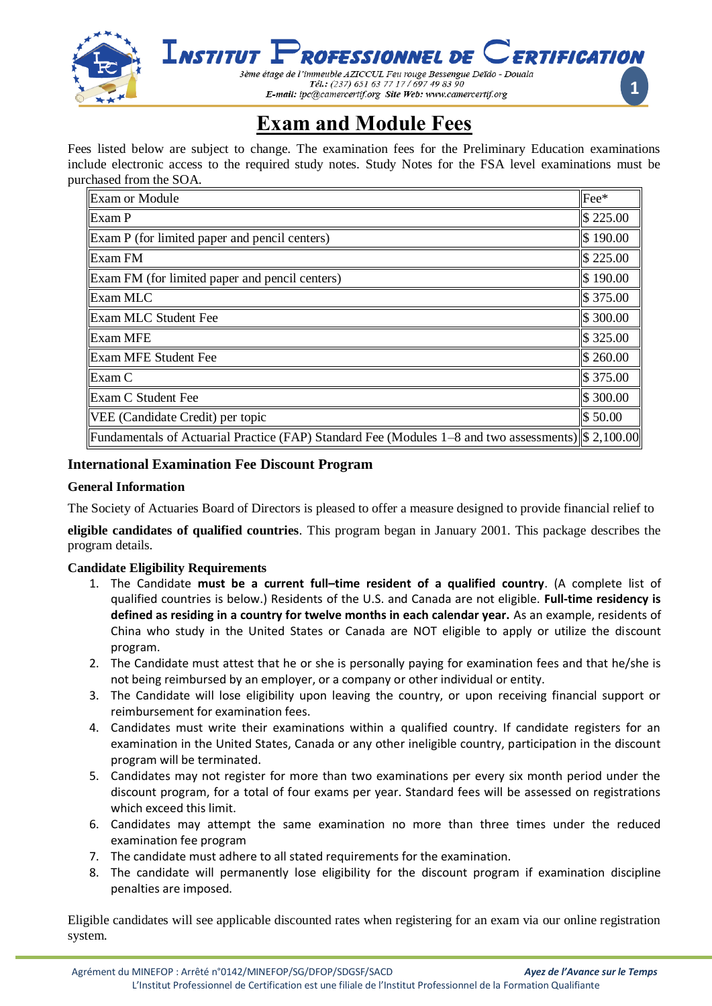

# **Exam and Module Fees**

Fees listed below are subject to change. The examination fees for the Preliminary Education examinations include electronic access to the required study notes. Study Notes for the FSA level examinations must be purchased from the SOA.

| <b>Exam or Module</b>                                                                                  | Fee*                |
|--------------------------------------------------------------------------------------------------------|---------------------|
| Exam P                                                                                                 | \$225.00            |
| Exam P (for limited paper and pencil centers)                                                          | \$190.00            |
| <b>Exam FM</b>                                                                                         | $\$\,225.00$        |
| Exam FM (for limited paper and pencil centers)                                                         | \$190.00            |
| Exam MLC                                                                                               | $\frac{1}{3}375.00$ |
| <b>Exam MLC Student Fee</b>                                                                            | \$300.00            |
| Exam MFE                                                                                               | \$325.00            |
| <b>Exam MFE Student Fee</b>                                                                            | $\$\,260.00$        |
| Exam C                                                                                                 | \$375.00            |
| <b>Exam C Student Fee</b>                                                                              | \$300.00            |
| VEE (Candidate Credit) per topic                                                                       | \$50.00             |
| Fundamentals of Actuarial Practice (FAP) Standard Fee (Modules $1-8$ and two assessments)  \$ 2,100.00 |                     |

# **International Examination Fee Discount Program**

### **General Information**

The Society of Actuaries Board of Directors is pleased to offer a measure designed to provide financial relief to

**eligible candidates of qualified countries**. This program began in January 2001. This package describes the program details.

### **Candidate Eligibility Requirements**

- 1. The Candidate **must be a current full–time resident of a qualified country**. (A complete list of qualified countries is below.) Residents of the U.S. and Canada are not eligible. **Full-time residency is defined as residing in a country for twelve months in each calendar year.** As an example, residents of China who study in the United States or Canada are NOT eligible to apply or utilize the discount program.
- 2. The Candidate must attest that he or she is personally paying for examination fees and that he/she is not being reimbursed by an employer, or a company or other individual or entity.
- 3. The Candidate will lose eligibility upon leaving the country, or upon receiving financial support or reimbursement for examination fees.
- 4. Candidates must write their examinations within a qualified country. If candidate registers for an examination in the United States, Canada or any other ineligible country, participation in the discount program will be terminated.
- 5. Candidates may not register for more than two examinations per every six month period under the discount program, for a total of four exams per year. Standard fees will be assessed on registrations which exceed this limit.
- 6. Candidates may attempt the same examination no more than three times under the reduced examination fee program
- 7. The candidate must adhere to all stated requirements for the examination.
- 8. The candidate will permanently lose eligibility for the discount program if examination discipline penalties are imposed.

Eligible candidates will see applicable discounted rates when registering for an exam via our online registration system.